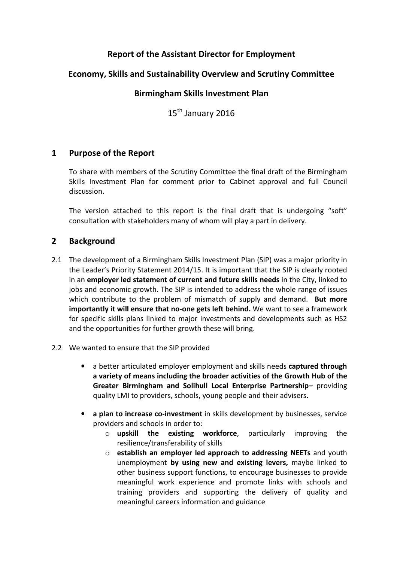# Report of the Assistant Director for Employment

# Economy, Skills and Sustainability Overview and Scrutiny Committee

### Birmingham Skills Investment Plan

15<sup>th</sup> January 2016

### 1 Purpose of the Report

To share with members of the Scrutiny Committee the final draft of the Birmingham Skills Investment Plan for comment prior to Cabinet approval and full Council discussion.

The version attached to this report is the final draft that is undergoing "soft" consultation with stakeholders many of whom will play a part in delivery.

### 2 Background

- 2.1 The development of a Birmingham Skills Investment Plan (SIP) was a major priority in the Leader's Priority Statement 2014/15. It is important that the SIP is clearly rooted in an employer led statement of current and future skills needs in the City, linked to jobs and economic growth. The SIP is intended to address the whole range of issues which contribute to the problem of mismatch of supply and demand. But more importantly it will ensure that no-one gets left behind. We want to see a framework for specific skills plans linked to major investments and developments such as HS2 and the opportunities for further growth these will bring.
- 2.2 We wanted to ensure that the SIP provided
	- a better articulated employer employment and skills needs captured through a variety of means including the broader activities of the Growth Hub of the Greater Birmingham and Solihull Local Enterprise Partnership– providing quality LMI to providers, schools, young people and their advisers.
	- a plan to increase co-investment in skills development by businesses, service providers and schools in order to:
		- $\circ$  upskill the existing workforce, particularly improving the resilience/transferability of skills
		- o establish an employer led approach to addressing NEETs and youth unemployment by using new and existing levers, maybe linked to other business support functions, to encourage businesses to provide meaningful work experience and promote links with schools and training providers and supporting the delivery of quality and meaningful careers information and guidance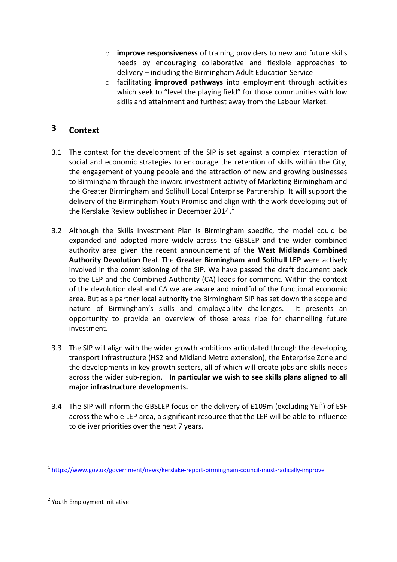- $\circ$  improve responsiveness of training providers to new and future skills needs by encouraging collaborative and flexible approaches to delivery – including the Birmingham Adult Education Service
- $\circ$  facilitating improved pathways into employment through activities which seek to "level the playing field" for those communities with low skills and attainment and furthest away from the Labour Market.

# 3 Context

- 3.1 The context for the development of the SIP is set against a complex interaction of social and economic strategies to encourage the retention of skills within the City, the engagement of young people and the attraction of new and growing businesses to Birmingham through the inward investment activity of Marketing Birmingham and the Greater Birmingham and Solihull Local Enterprise Partnership. It will support the delivery of the Birmingham Youth Promise and align with the work developing out of the Kerslake Review published in December 2014.<sup>1</sup>
- 3.2 Although the Skills Investment Plan is Birmingham specific, the model could be expanded and adopted more widely across the GBSLEP and the wider combined authority area given the recent announcement of the West Midlands Combined Authority Devolution Deal. The Greater Birmingham and Solihull LEP were actively involved in the commissioning of the SIP. We have passed the draft document back to the LEP and the Combined Authority (CA) leads for comment. Within the context of the devolution deal and CA we are aware and mindful of the functional economic area. But as a partner local authority the Birmingham SIP has set down the scope and nature of Birmingham's skills and employability challenges. It presents an opportunity to provide an overview of those areas ripe for channelling future investment.
- 3.3 The SIP will align with the wider growth ambitions articulated through the developing transport infrastructure (HS2 and Midland Metro extension), the Enterprise Zone and the developments in key growth sectors, all of which will create jobs and skills needs across the wider sub-region. In particular we wish to see skills plans aligned to all major infrastructure developments.
- 3.4 The SIP will inform the GBSLEP focus on the delivery of £109m (excluding YEI<sup>2</sup>) of ESF across the whole LEP area, a significant resource that the LEP will be able to influence to deliver priorities over the next 7 years.

 $\overline{\phantom{0}}$ 

<sup>1</sup> https://www.gov.uk/government/news/kerslake-report-birmingham-council-must-radically-improve

<sup>&</sup>lt;sup>2</sup> Youth Employment Initiative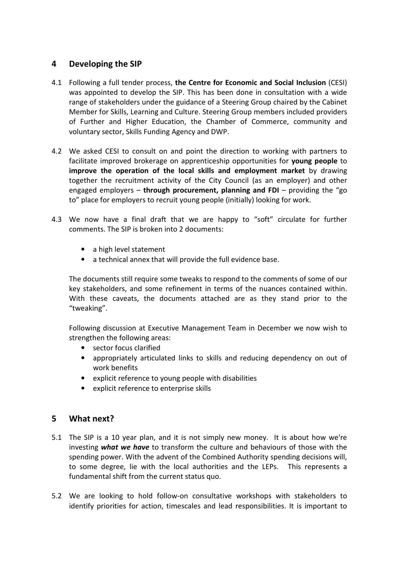## 4 Developing the SIP

- 4.1 Following a full tender process, the Centre for Economic and Social Inclusion (CESI) was appointed to develop the SIP. This has been done in consultation with a wide range of stakeholders under the guidance of a Steering Group chaired by the Cabinet Member for Skills, Learning and Culture. Steering Group members included providers of Further and Higher Education, the Chamber of Commerce, community and voluntary sector, Skills Funding Agency and DWP.
- 4.2 We asked CESI to consult on and point the direction to working with partners to facilitate improved brokerage on apprenticeship opportunities for young people to improve the operation of the local skills and employment market by drawing together the recruitment activity of the City Council (as an employer) and other engaged employers – through procurement, planning and FDI – providing the "go to" place for employers to recruit young people (initially) looking for work.
- 4.3 We now have a final draft that we are happy to "soft" circulate for further comments. The SIP is broken into 2 documents:
	- a high level statement
	- a technical annex that will provide the full evidence base.

The documents still require some tweaks to respond to the comments of some of our key stakeholders, and some refinement in terms of the nuances contained within. With these caveats, the documents attached are as they stand prior to the "tweaking".

 Following discussion at Executive Management Team in December we now wish to strengthen the following areas:

- sector focus clarified
- appropriately articulated links to skills and reducing dependency on out of work benefits
- explicit reference to young people with disabilities
- explicit reference to enterprise skills

### 5 What next?

- 5.1 The SIP is a 10 year plan, and it is not simply new money. It is about how we're investing what we have to transform the culture and behaviours of those with the spending power. With the advent of the Combined Authority spending decisions will, to some degree, lie with the local authorities and the LEPs. This represents a fundamental shift from the current status quo.
- 5.2 We are looking to hold follow-on consultative workshops with stakeholders to identify priorities for action, timescales and lead responsibilities. It is important to